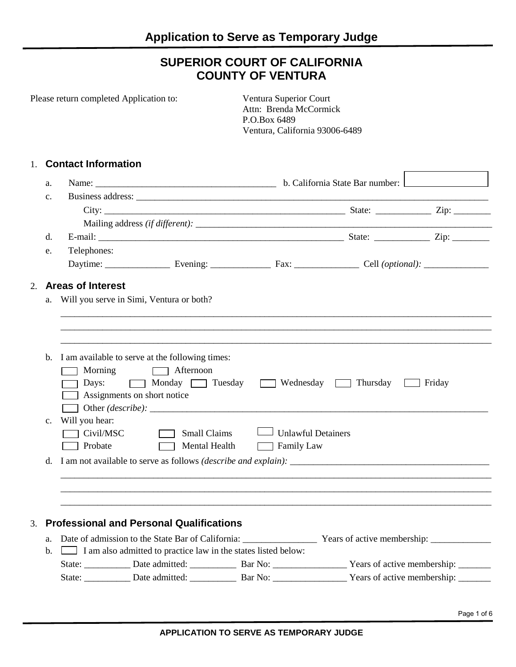# **SUPERIOR COURT OF CALIFORNIA COUNTY OF VENTURA**

|                | Please return completed Application to:                                                                                      |                                                                                                                                     | Ventura Superior Court<br>Attn: Brenda McCormick<br>P.O.Box 6489<br>Ventura, California 93006-6489 |  |  |  |
|----------------|------------------------------------------------------------------------------------------------------------------------------|-------------------------------------------------------------------------------------------------------------------------------------|----------------------------------------------------------------------------------------------------|--|--|--|
| 1.             | <b>Contact Information</b>                                                                                                   |                                                                                                                                     |                                                                                                    |  |  |  |
| a.             |                                                                                                                              |                                                                                                                                     |                                                                                                    |  |  |  |
| $\mathbf{c}$ . |                                                                                                                              |                                                                                                                                     |                                                                                                    |  |  |  |
|                |                                                                                                                              |                                                                                                                                     |                                                                                                    |  |  |  |
|                |                                                                                                                              |                                                                                                                                     |                                                                                                    |  |  |  |
| d.             |                                                                                                                              |                                                                                                                                     |                                                                                                    |  |  |  |
| e.             | Telephones:                                                                                                                  |                                                                                                                                     |                                                                                                    |  |  |  |
|                |                                                                                                                              |                                                                                                                                     |                                                                                                    |  |  |  |
| 2.             | <b>Areas of Interest</b>                                                                                                     |                                                                                                                                     |                                                                                                    |  |  |  |
| a.             | Will you serve in Simi, Ventura or both?                                                                                     |                                                                                                                                     |                                                                                                    |  |  |  |
|                |                                                                                                                              |                                                                                                                                     |                                                                                                    |  |  |  |
|                | Assignments on short notice                                                                                                  | b. I am available to serve at the following times:<br>Morning <b>Afternoon</b><br>Days: Monday Tuesday Wednesday Thursday<br>Friday |                                                                                                    |  |  |  |
| $c_{\cdot}$    | Will you hear:                                                                                                               |                                                                                                                                     |                                                                                                    |  |  |  |
|                | T Civil/MSC                                                                                                                  | Small Claims                                                                                                                        | Unlawful Detainers                                                                                 |  |  |  |
|                | Probate<br><b>The Common</b>                                                                                                 | Mental Health                                                                                                                       | <b>Example 1</b> Family Law                                                                        |  |  |  |
|                | d. I am not available to serve as follows (describe and explain):                                                            |                                                                                                                                     |                                                                                                    |  |  |  |
|                |                                                                                                                              |                                                                                                                                     |                                                                                                    |  |  |  |
|                |                                                                                                                              |                                                                                                                                     |                                                                                                    |  |  |  |
|                |                                                                                                                              |                                                                                                                                     |                                                                                                    |  |  |  |
| 3.             | <b>Professional and Personal Qualifications</b>                                                                              |                                                                                                                                     |                                                                                                    |  |  |  |
|                |                                                                                                                              |                                                                                                                                     |                                                                                                    |  |  |  |
| a.<br>b.       | I am also admitted to practice law in the states listed below:                                                               |                                                                                                                                     |                                                                                                    |  |  |  |
|                | State: ______________ Date admitted: _______________ Bar No: _____________________ Years of active membership: _____________ |                                                                                                                                     |                                                                                                    |  |  |  |
|                |                                                                                                                              |                                                                                                                                     |                                                                                                    |  |  |  |
|                |                                                                                                                              |                                                                                                                                     |                                                                                                    |  |  |  |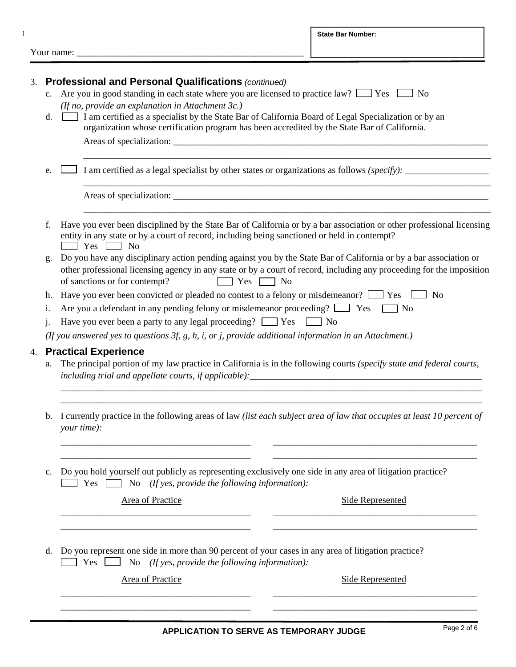Your name:

 $\bar{\Gamma}$ 

| 3.                                                                                                        |                                                                                                           | <b>Professional and Personal Qualifications (continued)</b>                                                                                                                                                                    |  |  |
|-----------------------------------------------------------------------------------------------------------|-----------------------------------------------------------------------------------------------------------|--------------------------------------------------------------------------------------------------------------------------------------------------------------------------------------------------------------------------------|--|--|
|                                                                                                           | $c_{\cdot}$                                                                                               | Are you in good standing in each state where you are licensed to practice law? $\Box$ Yes $\Box$ No                                                                                                                            |  |  |
|                                                                                                           |                                                                                                           | (If no, provide an explanation in Attachment $3c$ .)                                                                                                                                                                           |  |  |
|                                                                                                           | d.                                                                                                        | I am certified as a specialist by the State Bar of California Board of Legal Specialization or by an                                                                                                                           |  |  |
|                                                                                                           |                                                                                                           | organization whose certification program has been accredited by the State Bar of California.                                                                                                                                   |  |  |
|                                                                                                           |                                                                                                           | Areas of specialization: New York Changes and Security and Security and Security and Security and Security and Security and Security and Security and Security and Security and Security and Security and Security and Securit |  |  |
|                                                                                                           | e.                                                                                                        | I am certified as a legal specialist by other states or organizations as follows (specify): __________________                                                                                                                 |  |  |
|                                                                                                           |                                                                                                           |                                                                                                                                                                                                                                |  |  |
|                                                                                                           | f.                                                                                                        | Have you ever been disciplined by the State Bar of California or by a bar association or other professional licensing                                                                                                          |  |  |
|                                                                                                           |                                                                                                           | entity in any state or by a court of record, including being sanctioned or held in contempt?<br>$\blacksquare$ Yes $\blacksquare$ No                                                                                           |  |  |
|                                                                                                           | g.                                                                                                        | Do you have any disciplinary action pending against you by the State Bar of California or by a bar association or                                                                                                              |  |  |
|                                                                                                           |                                                                                                           | other professional licensing agency in any state or by a court of record, including any proceeding for the imposition                                                                                                          |  |  |
|                                                                                                           |                                                                                                           | of sanctions or for contempt?<br>$Yes \Box No$                                                                                                                                                                                 |  |  |
|                                                                                                           | Have you ever been convicted or pleaded no contest to a felony or misdemeanor? $\Box$ Yes $\Box$ No<br>h. |                                                                                                                                                                                                                                |  |  |
| Are you a defendant in any pending felony or misdemeanor proceeding? $\Box$ Yes<br>N <sub>o</sub><br>1.   |                                                                                                           |                                                                                                                                                                                                                                |  |  |
|                                                                                                           | j.                                                                                                        | Have you ever been a party to any legal proceeding? $\Box$ Yes $\Box$ No                                                                                                                                                       |  |  |
| (If you answered yes to questions $3f$ , g, h, i, or j, provide additional information in an Attachment.) |                                                                                                           |                                                                                                                                                                                                                                |  |  |
|                                                                                                           |                                                                                                           | <b>Practical Experience</b>                                                                                                                                                                                                    |  |  |
| 4.<br>a.                                                                                                  |                                                                                                           | The principal portion of my law practice in California is in the following courts (specify state and federal courts,                                                                                                           |  |  |
|                                                                                                           |                                                                                                           |                                                                                                                                                                                                                                |  |  |
|                                                                                                           | $\mathbf{b}$ .                                                                                            | I currently practice in the following areas of law (list each subject area of law that occupies at least 10 percent of<br>your time):                                                                                          |  |  |
|                                                                                                           | $\mathbf{c}$ .                                                                                            | Do you hold yourself out publicly as representing exclusively one side in any area of litigation practice?<br>No (If yes, provide the following information):<br>$Yes \Box$                                                    |  |  |
|                                                                                                           |                                                                                                           | <b>Area of Practice</b><br><b>Side Represented</b>                                                                                                                                                                             |  |  |
|                                                                                                           |                                                                                                           |                                                                                                                                                                                                                                |  |  |
|                                                                                                           |                                                                                                           |                                                                                                                                                                                                                                |  |  |

d. Do you represent one side in more than 90 percent of your cases in any area of litigation practice? Yes No *(If yes, provide the following information):*

Area of Practice Side Represented

\_\_\_\_\_\_\_\_\_\_\_\_\_\_\_\_\_\_\_\_\_\_\_\_\_\_\_\_\_\_\_\_\_\_\_\_\_\_\_\_\_ \_\_\_\_\_\_\_\_\_\_\_\_\_\_\_\_\_\_\_\_\_\_\_\_\_\_\_\_\_\_\_\_\_\_\_\_\_\_\_\_\_\_\_\_ \_\_\_\_\_\_\_\_\_\_\_\_\_\_\_\_\_\_\_\_\_\_\_\_\_\_\_\_\_\_\_\_\_\_\_\_\_\_\_\_\_ \_\_\_\_\_\_\_\_\_\_\_\_\_\_\_\_\_\_\_\_\_\_\_\_\_\_\_\_\_\_\_\_\_\_\_\_\_\_\_\_\_\_\_\_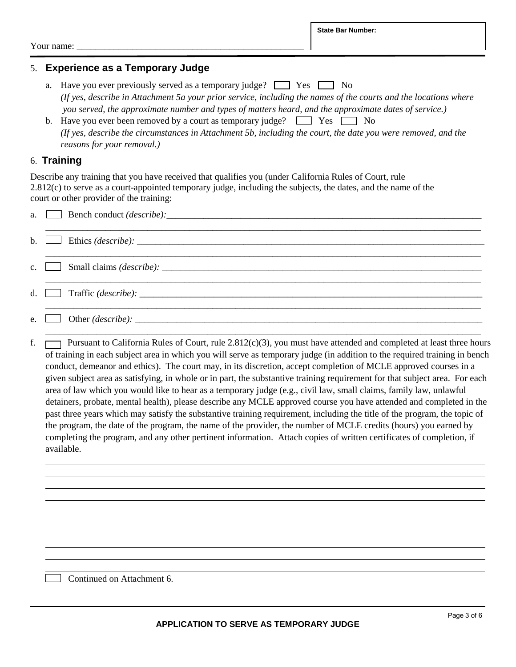Your name:

### 5. **Experience as a Temporary Judge**

- a. Have you ever previously served as a temporary judge?  $\Box$  Yes  $\Box$  No *(If yes, describe in Attachment 5a your prior service, including the names of the courts and the locations where you served, the approximate number and types of matters heard, and the approximate dates of service.)*
- b. Have you ever been removed by a court as temporary judge?  $\Box$  Yes  $\Box$  No *(If yes, describe the circumstances in Attachment 5b, including the court, the date you were removed, and the reasons for your removal.)*

#### 6. **Training**

Describe any training that you have received that qualifies you (under California Rules of Court, rule 2.812(c) to serve as a court-appointed temporary judge, including the subjects, the dates, and the name of the court or other provider of the training:

|  | b. $\Box$ Ethics ( <i>describe</i> ): $\Box$                                                                                                                                                                                      |
|--|-----------------------------------------------------------------------------------------------------------------------------------------------------------------------------------------------------------------------------------|
|  |                                                                                                                                                                                                                                   |
|  | d. $\Box$ Traffic ( <i>describe</i> ): $\Box$                                                                                                                                                                                     |
|  | e. Other $(describe)$ :                                                                                                                                                                                                           |
|  | $\alpha$ . The contract in the contract of the contract of the contract of the contract of the contract of the contract of the contract of the contract of the contract of the contract of the contract of the contract of the co |

f.  $\Box$  Pursuant to California Rules of Court, rule 2.812(c)(3), you must have attended and completed at least three hours of training in each subject area in which you will serve as temporary judge (in addition to the required training in bench conduct, demeanor and ethics). The court may, in its discretion, accept completion of MCLE approved courses in a given subject area as satisfying, in whole or in part, the substantive training requirement for that subject area. For each area of law which you would like to hear as a temporary judge (e.g., civil law, small claims, family law, unlawful detainers, probate, mental health), please describe any MCLE approved course you have attended and completed in the past three years which may satisfy the substantive training requirement, including the title of the program, the topic of the program, the date of the program, the name of the provider, the number of MCLE credits (hours) you earned by completing the program, and any other pertinent information. Attach copies of written certificates of completion, if available.

Continued on Attachment 6.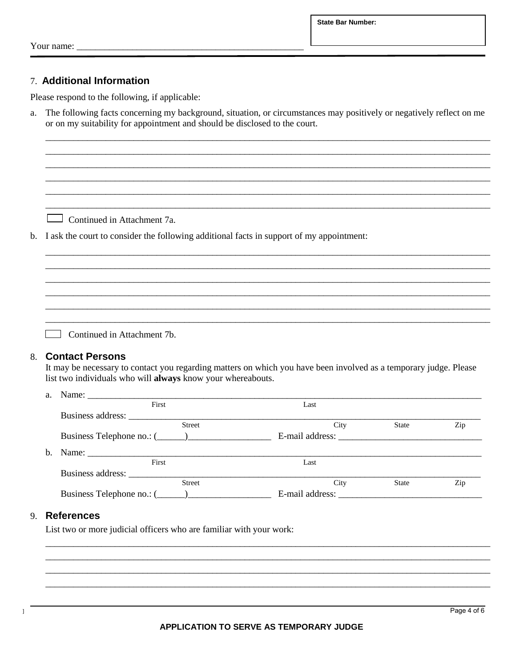**State Bar Number:** 

Your name:

#### 7. Additional Information

Please respond to the following, if applicable:

The following facts concerning my background, situation, or circumstances may positively or negatively reflect on me a. or on my suitability for appointment and should be disclosed to the court.

Continued in Attachment 7a.

b. I ask the court to consider the following additional facts in support of my appointment:

Continued in Attachment 7b.

#### **Contact Persons** 8.

It may be necessary to contact you regarding matters on which you have been involved as a temporary judge. Please list two individuals who will always know your whereabouts.

| $a_{-}$ |                   |                 |              |     |
|---------|-------------------|-----------------|--------------|-----|
|         | First             | Last            |              |     |
|         | Business address: |                 |              |     |
|         | <b>Street</b>     | City            | <b>State</b> | Zip |
|         |                   |                 |              |     |
| h.      |                   |                 |              |     |
|         | First             | Last            |              |     |
|         |                   |                 |              |     |
|         | <b>Street</b>     | City            | <b>State</b> | Zip |
|         |                   | E-mail address: |              |     |

#### 9. References

List two or more judicial officers who are familiar with your work:

 $\overline{1}$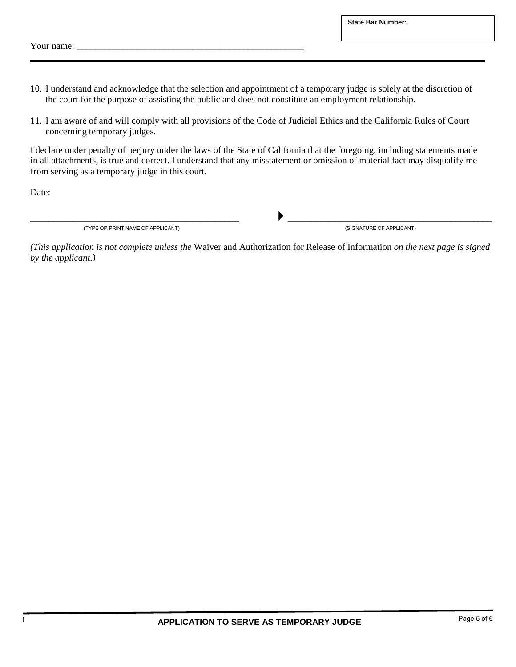Your name:

- 10. I understand and acknowledge that the selection and appointment of a temporary judge is solely at the discretion of the court for the purpose of assisting the public and does not constitute an employment relationship.
- 11. I am aware of and will comply with all provisions of the Code of Judicial Ethics and the California Rules of Court concerning temporary judges.

I declare under penalty of perjury under the laws of the State of California that the foregoing, including statements made in all attachments, is true and correct. I understand that any misstatement or omission of material fact may disqualify me from serving as a temporary judge in this court.

Date:

(TYPE OR PRINT NAME OF APPLICANT)

 $\overline{\phantom{a}}$ <br>(SIGNATURE OF APPLICANT)

*(This application is not complete unless the* Waiver and Authorization for Release of Information *on the next page is signed by the applicant.)*